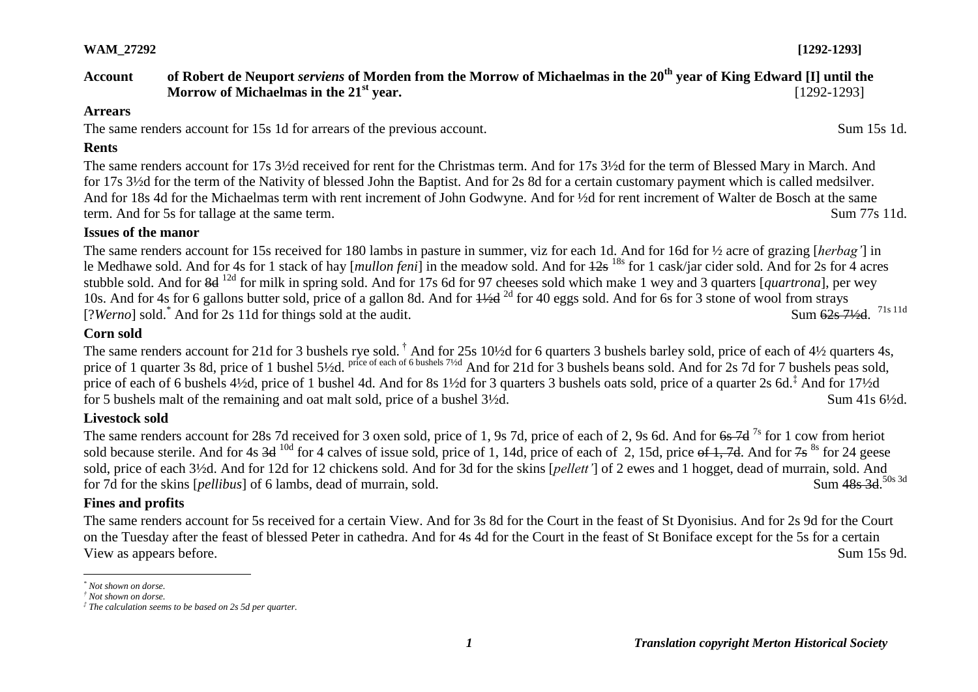### **WAM\_27292 [1292-1293]**

# **Account of Robert de Neuport** *serviens* **of Morden from the Morrow of Michaelmas in the 20th year of King Edward [I] until the Morrow of Michaelmas in the 21<sup>st</sup> year.** [1292-1293]

#### **Arrears**

The same renders account for 15s 1d for arrears of the previous account. Sum 15s 1d.

## **Rents**

The same renders account for 17s 3½d received for rent for the Christmas term. And for 17s 3½d for the term of Blessed Mary in March. And for 17s 3½d for the term of the Nativity of blessed John the Baptist. And for 2s 8d for a certain customary payment which is called medsilver. And for 18s 4d for the Michaelmas term with rent increment of John Godwyne. And for ½d for rent increment of Walter de Bosch at the same term. And for 5s for tallage at the same term. Sum 77s 11d.

# **Issues of the manor**

The same renders account for 15s received for 180 lambs in pasture in summer, viz for each 1d. And for 16d for ½ acre of grazing [*herbag'*] in le Medhawe sold. And for 4s for 1 stack of hay [*mullon feni*] in the meadow sold. And for 12s 18s for 1 cask/jar cider sold. And for 2s for 4 acres stubble sold. And for 8d 12d for milk in spring sold. And for 17s 6d for 97 cheeses sold which make 1 wey and 3 quarters [*quartrona*], per wey 10s. And for 4s for 6 gallons butter sold, price of a gallon 8d. And for  $\frac{1}{2d}$  for 40 eggs sold. And for 6s for 3 stone of wool from strays [?*Werno*] sold.<sup>\*</sup> And for 2s 11d for things sold at the audit. Sum 62s 71/<sub>2</sub>d 71s 11d

## **Corn sold**

The same renders account for 21d for 3 bushels rye sold. <sup>†</sup> And for 25s 10½d for 6 quarters 3 bushels barley sold, price of each of 4½ quarters 4s, price of 1 quarter 3s 8d, price of 1 bushel 5½d. <sup>price of each of 6 bushels 7½d</sup> And for 21d for 3 bushels beans sold. And for 2s 7d for 7 bushels peas sold, price of each of 6 bushels 4½d, price of 1 bushel 4d. And for 8s 1½d for 3 quarters 3 bushels oats sold, price of a quarter 2s 6d.<sup>‡</sup> And for 17½d for 5 bushels malt of the remaining and oat malt sold, price of a bushel  $3\frac{1}{2}d$ . Sum 41s  $6\frac{1}{2}d$ .

# **Livestock sold**

The same renders account for 28s 7d received for 3 oxen sold, price of 1, 9s 7d, price of each of 2, 9s 6d. And for <del>6s 7d</del> <sup>7s</sup> for 1 cow from heriot sold because sterile. And for 4s  $3d^{10d}$  for 4 calves of issue sold, price of 1, 14d, price of each of 2, 15d, price of 1, 7d. And for 7s  $^{8s}$  for 24 geese sold, price of each 3½d. And for 12d for 12 chickens sold. And for 3d for the skins [*pellett'*] of 2 ewes and 1 hogget, dead of murrain, sold. And for 7d for the skins [*pellibus*] of 6 lambs, dead of murrain, sold. Sum 48s 3d 50s 3d

# **Fines and profits**

The same renders account for 5s received for a certain View. And for 3s 8d for the Court in the feast of St Dyonisius. And for 2s 9d for the Court on the Tuesday after the feast of blessed Peter in cathedra. And for 4s 4d for the Court in the feast of St Boniface except for the 5s for a certain View as appears before. Sum 15s 9d.

 $\overline{a}$ 

*<sup>\*</sup> Not shown on dorse.*

*<sup>†</sup> Not shown on dorse.*

*<sup>‡</sup> The calculation seems to be based on 2s 5d per quarter.*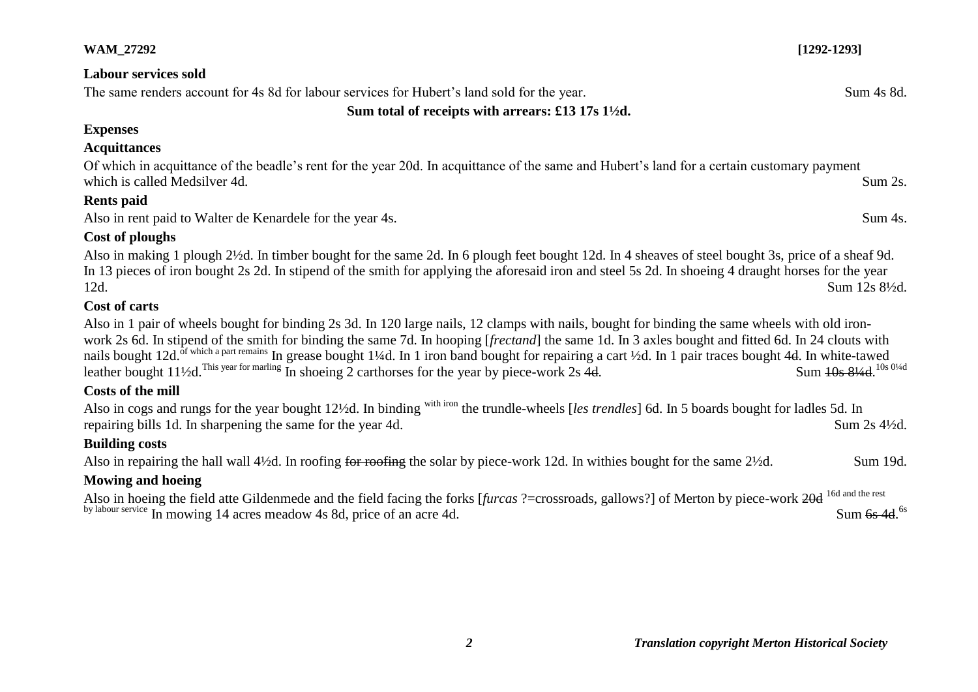| <b>WAM_27292</b>                                                                                                                                                                                                                                                                                                                                                                                                                                                                                                                                                                                                      | $[1292 - 1293]$          |
|-----------------------------------------------------------------------------------------------------------------------------------------------------------------------------------------------------------------------------------------------------------------------------------------------------------------------------------------------------------------------------------------------------------------------------------------------------------------------------------------------------------------------------------------------------------------------------------------------------------------------|--------------------------|
| <b>Labour services sold</b>                                                                                                                                                                                                                                                                                                                                                                                                                                                                                                                                                                                           |                          |
| The same renders account for 4s 8d for labour services for Hubert's land sold for the year.                                                                                                                                                                                                                                                                                                                                                                                                                                                                                                                           | Sum 4s 8d.               |
| Sum total of receipts with arrears: £13 17s $1\frac{1}{2}d$ .                                                                                                                                                                                                                                                                                                                                                                                                                                                                                                                                                         |                          |
| <b>Expenses</b>                                                                                                                                                                                                                                                                                                                                                                                                                                                                                                                                                                                                       |                          |
| <b>Acquittances</b>                                                                                                                                                                                                                                                                                                                                                                                                                                                                                                                                                                                                   |                          |
| Of which in acquittance of the beadle's rent for the year 20d. In acquittance of the same and Hubert's land for a certain customary payment<br>which is called Medsilver 4d.                                                                                                                                                                                                                                                                                                                                                                                                                                          | Sum 2s.                  |
| <b>Rents</b> paid                                                                                                                                                                                                                                                                                                                                                                                                                                                                                                                                                                                                     |                          |
| Also in rent paid to Walter de Kenardele for the year 4s.                                                                                                                                                                                                                                                                                                                                                                                                                                                                                                                                                             | Sum 4s.                  |
| <b>Cost of ploughs</b>                                                                                                                                                                                                                                                                                                                                                                                                                                                                                                                                                                                                |                          |
| Also in making 1 plough 2½d. In timber bought for the same 2d. In 6 plough feet bought 12d. In 4 sheaves of steel bought 3s, price of a sheaf 9d.<br>In 13 pieces of iron bought 2s 2d. In stipend of the smith for applying the aforesaid iron and steel 5s 2d. In shoeing 4 draught horses for the year<br>12d.                                                                                                                                                                                                                                                                                                     | Sum 12s 81/2d.           |
| Cost of carts                                                                                                                                                                                                                                                                                                                                                                                                                                                                                                                                                                                                         |                          |
| Also in 1 pair of wheels bought for binding 2s 3d. In 120 large nails, 12 clamps with nails, bought for binding the same wheels with old iron-<br>work 2s 6d. In stipend of the smith for binding the same 7d. In hooping [frectand] the same 1d. In 3 axles bought and fitted 6d. In 24 clouts with<br>nails bought 12d. of which a part remains In grease bought 1¼d. In 1 iron band bought for repairing a cart 1⁄2d. In 1 pair traces bought 4d. In white-tawed<br>leather bought 11 <sup>1</sup> / <sub>2</sub> d. This year for marling In shoeing 2 carthorses for the year by piece-work 2s $\overline{4d}$ . | Sum 10s 81/4d. 10s 01/4d |
| <b>Costs of the mill</b>                                                                                                                                                                                                                                                                                                                                                                                                                                                                                                                                                                                              |                          |
| Also in cogs and rungs for the year bought 12½d. In binding <sup>with iron</sup> the trundle-wheels [les trendles] 6d. In 5 boards bought for ladles 5d. In<br>repairing bills 1d. In sharpening the same for the year 4d.                                                                                                                                                                                                                                                                                                                                                                                            | Sum 2s 41/2d.            |
| <b>Building costs</b>                                                                                                                                                                                                                                                                                                                                                                                                                                                                                                                                                                                                 |                          |
| Also in repairing the hall wall 4½d. In roofing for roofing the solar by piece-work 12d. In withies bought for the same 2½d.                                                                                                                                                                                                                                                                                                                                                                                                                                                                                          | Sum 19d.                 |
| <b>Mowing and hoeing</b>                                                                                                                                                                                                                                                                                                                                                                                                                                                                                                                                                                                              |                          |
| Also in hoeing the field atte Gildenmede and the field facing the forks [furcas ?=crossroads, gallows?] of Merton by piece-work 20d 16d and the rest<br>by labour service In mowing 14 acres meadow 4s 8d, price of an acre 4d.                                                                                                                                                                                                                                                                                                                                                                                       | Sum $6s$ 4d. $6s$        |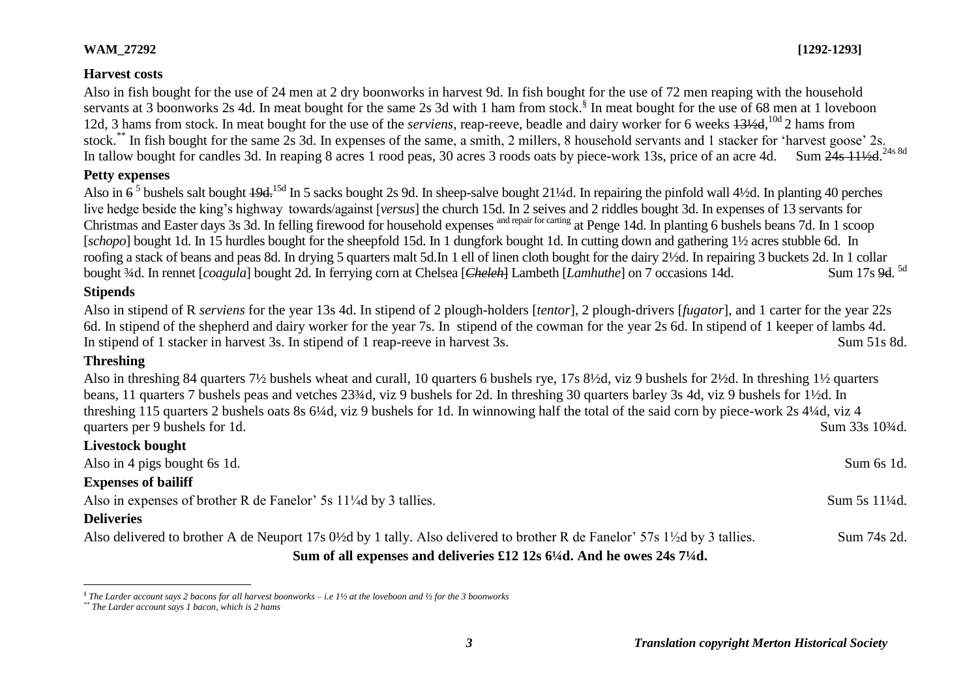## **WAM\_27292 [1292-1293]**

## **Harvest costs**

Also in fish bought for the use of 24 men at 2 dry boonworks in harvest 9d. In fish bought for the use of 72 men reaping with the household servants at 3 boonworks 2s 4d. In meat bought for the same 2s 3d with 1 ham from stock.<sup>§</sup> In meat bought for the use of 68 men at 1 loveboon 12d, 3 hams from stock. In meat bought for the use of the *serviens*, reap-reeve, beadle and dairy worker for 6 weeks  $13\frac{1}{4}$ ,  $^{10d}$  2 hams from stock.\*\* In fish bought for the same 2s 3d. In expenses of the same, a smith, 2 millers, 8 household servants and 1 stacker for 'harvest goose' 2s.

In tallow bought for candles 3d. In reaping 8 acres 1 rood peas, 30 acres 3 roods oats by piece-work 13s, price of an acre 4d. Sum 24s 111/<sub>2d</sub> 24s 8d

# **Petty expenses**

Also in  $6^5$  bushels salt bought  $19d$ <sup>15d</sup> In 5 sacks bought 2s 9d. In sheep-salve bought 21¼d. In repairing the pinfold wall 4½d. In planting 40 perches live hedge beside the king's highway towards/against [*versus*] the church 15d. In 2 seives and 2 riddles bought 3d. In expenses of 13 servants for Christmas and Easter days 3s 3d. In felling firewood for household expenses and repair for carting at Penge 14d. In planting 6 bushels beans 7d. In 1 scoop [*schopo*] bought 1d. In 15 hurdles bought for the sheepfold 15d. In 1 dungfork bought 1d. In cutting down and gathering 1½ acres stubble 6d. In roofing a stack of beans and peas 8d. In drying 5 quarters malt 5d.In 1 ell of linen cloth bought for the dairy 2½d. In repairing 3 buckets 2d. In 1 collar bought <sup>3</sup>/4d. In rennet [*coagula*] bought 2d. In ferrying corn at Chelsea [*Cheleh*] Lambeth [*Lamhuthe*] on 7 occasions 14d. Sum 17s 9d. 5d

## **Stipends**

Also in stipend of R *serviens* for the year 13s 4d. In stipend of 2 plough-holders [*tentor*], 2 plough-drivers [*fugator*], and 1 carter for the year 22s 6d. In stipend of the shepherd and dairy worker for the year 7s. In stipend of the cowman for the year 2s 6d. In stipend of 1 keeper of lambs 4d. In stipend of 1 stacker in harvest 3s. In stipend of 1 reap-reeve in harvest 3s. Sum 51s 8d.

# **Threshing**

Also in threshing 84 quarters 7½ bushels wheat and curall, 10 quarters 6 bushels rye, 17s 8½d, viz 9 bushels for 2½d. In threshing 1½ quarters beans, 11 quarters 7 bushels peas and vetches 23¾d, viz 9 bushels for 2d. In threshing 30 quarters barley 3s 4d, viz 9 bushels for 1½d. In threshing 115 quarters 2 bushels oats 8s 6¼d, viz 9 bushels for 1d. In winnowing half the total of the said corn by piece-work 2s 4¼d, viz 4 quarters per 9 bushels for 1d. Sum 33s 10<sup>3</sup>/d.

| Livestock bought                                                                                                                                       |               |
|--------------------------------------------------------------------------------------------------------------------------------------------------------|---------------|
| Also in 4 pigs bought 6s 1d.                                                                                                                           | Sum 6s 1d.    |
| <b>Expenses of bailiff</b>                                                                                                                             |               |
| Also in expenses of brother R de Fanelor' 5s 11 <sup>1</sup> / <sub>4</sub> d by 3 tallies.                                                            | Sum 5s 11\4d. |
| <b>Deliveries</b>                                                                                                                                      |               |
| Also delivered to brother A de Neuport 17s 0 <sup>1/2</sup> d by 1 tally. Also delivered to brother R de Fanelor' 57s 1 <sup>1</sup> /2d by 3 tallies. | Sum 74s 2d.   |
| Sum of all expenses and deliveries £12 12s $6\frac{1}{4}$ d. And he owes 24s 7 $\frac{1}{4}$ d.                                                        |               |

 *§ The Larder account says 2 bacons for all harvest boonworks – i.e 1½ at the loveboon and ½ for the 3 boonworks*

*<sup>\*\*</sup> The Larder account says 1 bacon, which is 2 hams*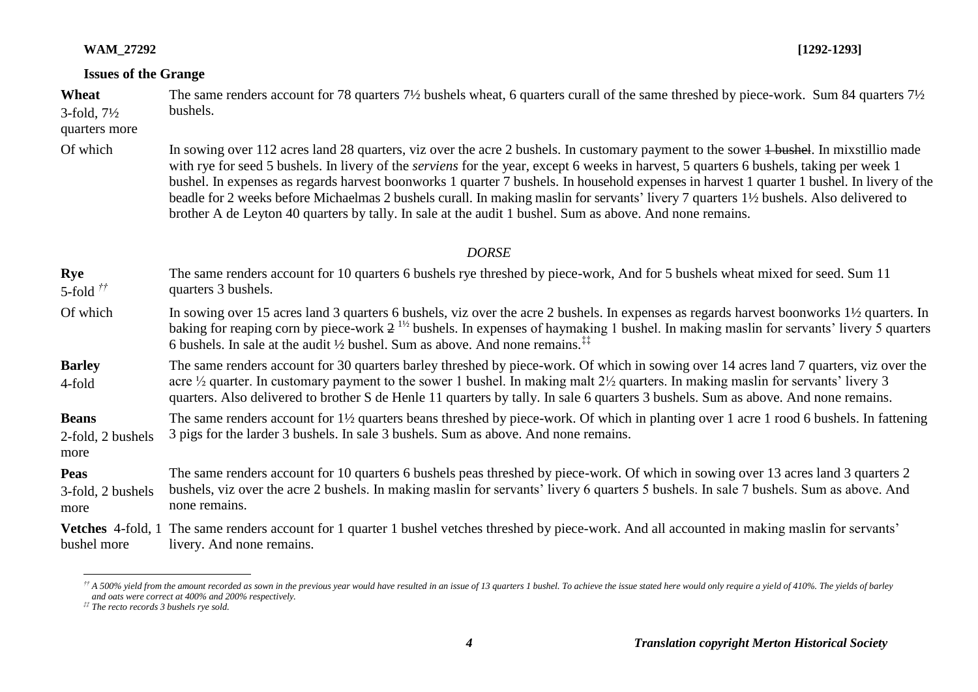#### **WAM\_27292 [1292-1293]**

#### **Issues of the Grange**

**Wheat** 3-fold, 7½ The same renders account for 78 quarters 7½ bushels wheat, 6 quarters curall of the same threshed by piece-work. Sum 84 quarters 7½ bushels.

#### quarters more

Of which In sowing over 112 acres land 28 quarters, viz over the acre 2 bushels. In customary payment to the sower 4 bushel. In mixstillio made with rye for seed 5 bushels. In livery of the *serviens* for the year, except 6 weeks in harvest, 5 quarters 6 bushels, taking per week 1 bushel. In expenses as regards harvest boonworks 1 quarter 7 bushels. In household expenses in harvest 1 quarter 1 bushel. In livery of the beadle for 2 weeks before Michaelmas 2 bushels curall. In making maslin for servants' livery 7 quarters 1½ bushels. Also delivered to brother A de Leyton 40 quarters by tally. In sale at the audit 1 bushel. Sum as above. And none remains.

#### *DORSE*

- **Rye** 5-fold *††* The same renders account for 10 quarters 6 bushels rye threshed by piece-work, And for 5 bushels wheat mixed for seed. Sum 11 quarters 3 bushels.
- Of which In sowing over 15 acres land 3 quarters 6 bushels, viz over the acre 2 bushels. In expenses as regards harvest boonworks 1<sup>1</sup>/<sub>2</sub> quarters. In baking for reaping corn by piece-work  $2^{1/2}$  bushels. In expenses of haymaking 1 bushel. In making maslin for servants' livery 5 quarters 6 bushels. In sale at the audit ½ bushel. Sum as above. And none remains  $\ddot{a}$
- **Barley** 4-fold The same renders account for 30 quarters barley threshed by piece-work. Of which in sowing over 14 acres land 7 quarters, viz over the acre ½ quarter. In customary payment to the sower 1 bushel. In making malt 2½ quarters. In making maslin for servants' livery 3 quarters. Also delivered to brother S de Henle 11 quarters by tally. In sale 6 quarters 3 bushels. Sum as above. And none remains.
- **Beans**  2-fold, 2 bushels The same renders account for 1½ quarters beans threshed by piece-work. Of which in planting over 1 acre 1 rood 6 bushels. In fattening 3 pigs for the larder 3 bushels. In sale 3 bushels. Sum as above. And none remains.
- more

**Peas** 3-fold, 2 bushels more The same renders account for 10 quarters 6 bushels peas threshed by piece-work. Of which in sowing over 13 acres land 3 quarters 2 bushels, viz over the acre 2 bushels. In making maslin for servants' livery 6 quarters 5 bushels. In sale 7 bushels. Sum as above. And none remains.

**Vetches** 4-fold, 1 The same renders account for 1 quarter 1 bushel vetches threshed by piece-work. And all accounted in making maslin for servants' bushel more livery. And none remains.

 $\overline{a}$  $^{\#}$  A 500% yield from the amount recorded as sown in the previous year would have resulted in an issue of 13 quarters 1 bushel. To achieve the issue stated here would only require a yield of 410%. The yields of barley *and oats were correct at 400% and 200% respectively.*

*<sup>‡‡</sup> The recto records 3 bushels rye sold.*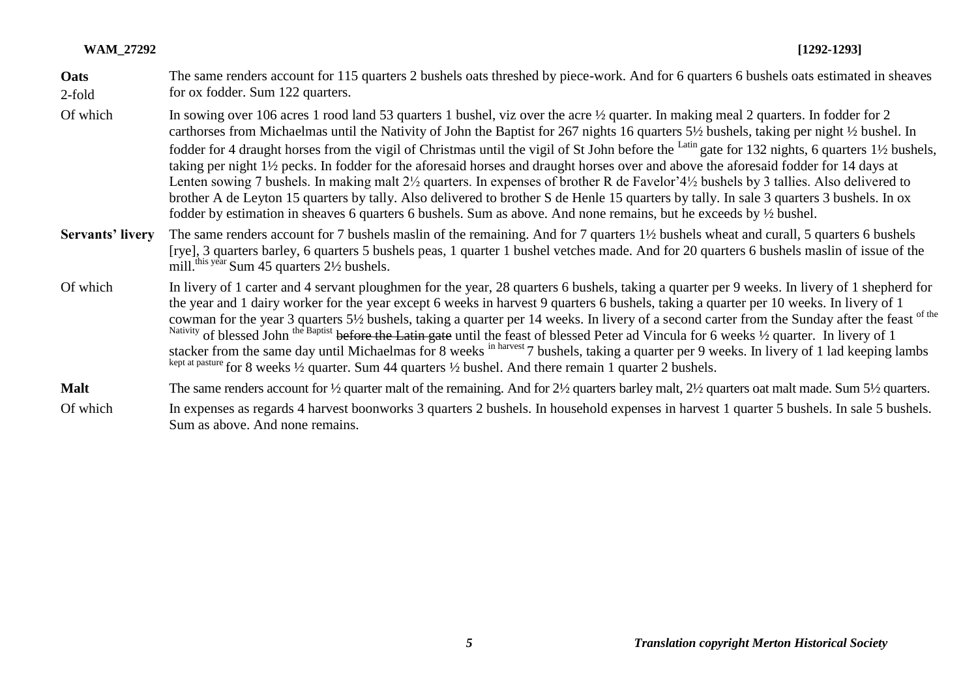| <b>WAM 27292</b> | $[1292 - 1293]$<br>and the contract of the contract of the contract of the contract of the contract of the contract of the contract of the contract of the contract of the contract of the contract of the contract of the contract of the contra |
|------------------|---------------------------------------------------------------------------------------------------------------------------------------------------------------------------------------------------------------------------------------------------|
|------------------|---------------------------------------------------------------------------------------------------------------------------------------------------------------------------------------------------------------------------------------------------|

| Oats<br>$2$ -fold | The same renders account for 115 quarters 2 bushels oats threshed by piece-work. And for 6 quarters 6 bushels oats estimated in sheaves<br>for ox fodder. Sum 122 quarters.                                                                                                                                                                                                                                                                                                                                                                                                                                                                                                                                                                                                                                                                                                                                                                                                                                                                                                      |
|-------------------|----------------------------------------------------------------------------------------------------------------------------------------------------------------------------------------------------------------------------------------------------------------------------------------------------------------------------------------------------------------------------------------------------------------------------------------------------------------------------------------------------------------------------------------------------------------------------------------------------------------------------------------------------------------------------------------------------------------------------------------------------------------------------------------------------------------------------------------------------------------------------------------------------------------------------------------------------------------------------------------------------------------------------------------------------------------------------------|
| Of which          | In sowing over 106 acres 1 rood land 53 quarters 1 bushel, viz over the acre 1/2 quarter. In making meal 2 quarters. In fodder for 2<br>carthorses from Michaelmas until the Nativity of John the Baptist for 267 nights 16 quarters 5½ bushels, taking per night 1⁄2 bushel. In<br>fodder for 4 draught horses from the vigil of Christmas until the vigil of St John before the <sup>Latin</sup> gate for 132 nights, 6 quarters 1 <sup>1</sup> / <sub>2</sub> bushels,<br>taking per night 1½ pecks. In fodder for the aforesaid horses and draught horses over and above the aforesaid fodder for 14 days at<br>Lenten sowing 7 bushels. In making malt 2 <sup>1</sup> / <sub>2</sub> quarters. In expenses of brother R de Favelor'4 <sup>1</sup> / <sub>2</sub> bushels by 3 tallies. Also delivered to<br>brother A de Leyton 15 quarters by tally. Also delivered to brother S de Henle 15 quarters by tally. In sale 3 quarters 3 bushels. In ox<br>fodder by estimation in sheaves 6 quarters 6 bushels. Sum as above. And none remains, but he exceeds by 1/2 bushel. |
| Servants' livery  | The same renders account for 7 bushels maslin of the remaining. And for 7 quarters 1½ bushels wheat and curall, 5 quarters 6 bushels<br>[rye], 3 quarters barley, 6 quarters 5 bushels peas, 1 quarter 1 bushel vetches made. And for 20 quarters 6 bushels maslin of issue of the<br>mill. <sup>this year</sup> Sum 45 quarters 2½ bushels.                                                                                                                                                                                                                                                                                                                                                                                                                                                                                                                                                                                                                                                                                                                                     |
| Of which          | In livery of 1 carter and 4 servant ploughmen for the year, 28 quarters 6 bushels, taking a quarter per 9 weeks. In livery of 1 shepherd for<br>the year and 1 dairy worker for the year except 6 weeks in harvest 9 quarters 6 bushels, taking a quarter per 10 weeks. In livery of 1<br>cowman for the year 3 quarters 5 <sup>1</sup> / <sub>2</sub> bushels, taking a quarter per 14 weeks. In livery of a second carter from the Sunday after the feast of the<br>Nativity of blessed John the Baptist before the Latin gate until the feast of blessed Peter ad Vincula for 6 weeks 1/2 quarter. In livery of 1<br>stacker from the same day until Michaelmas for 8 weeks in harvest 7 bushels, taking a quarter per 9 weeks. In livery of 1 lad keeping lambs<br>kept at pasture for 8 weeks 1/2 quarter. Sum 44 quarters 1/2 bushel. And there remain 1 quarter 2 bushels.                                                                                                                                                                                                |
| <b>Malt</b>       | The same renders account for $\frac{1}{2}$ quarter malt of the remaining. And for $2\frac{1}{2}$ quarters barley malt, $2\frac{1}{2}$ quarters oat malt made. Sum 5 $\frac{1}{2}$ quarters.                                                                                                                                                                                                                                                                                                                                                                                                                                                                                                                                                                                                                                                                                                                                                                                                                                                                                      |

Of which In expenses as regards 4 harvest boonworks 3 quarters 2 bushels. In household expenses in harvest 1 quarter 5 bushels. In sale 5 bushels. Sum as above. And none remains.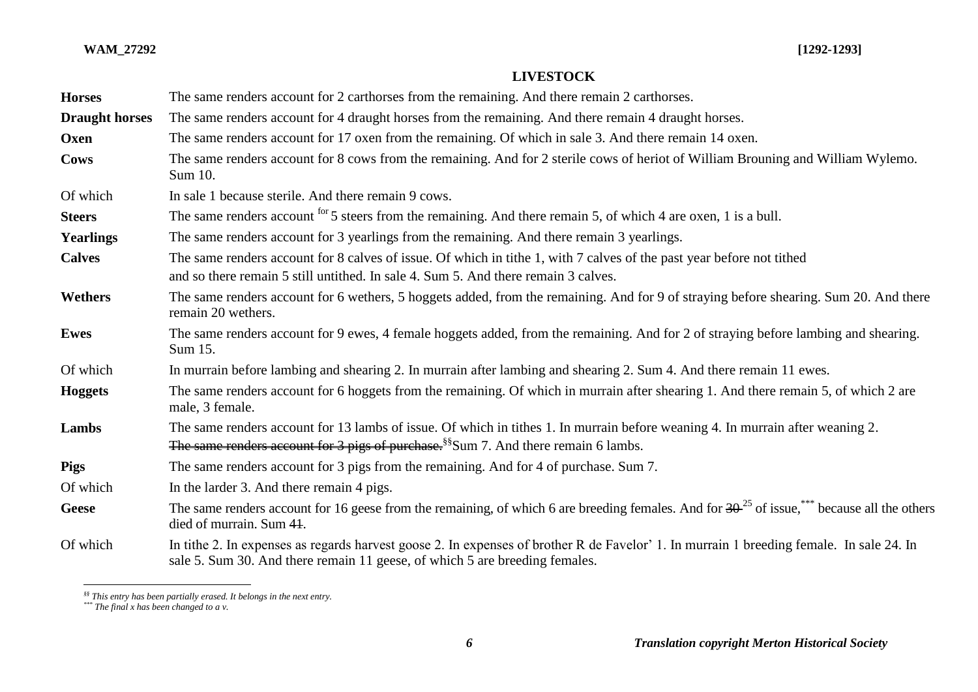| <b>Horses</b>         | The same renders account for 2 carthorses from the remaining. And there remain 2 carthorses.                                                                                                                                      |
|-----------------------|-----------------------------------------------------------------------------------------------------------------------------------------------------------------------------------------------------------------------------------|
| <b>Draught horses</b> | The same renders account for 4 draught horses from the remaining. And there remain 4 draught horses.                                                                                                                              |
| Oxen                  | The same renders account for 17 oxen from the remaining. Of which in sale 3. And there remain 14 oxen.                                                                                                                            |
| Cows                  | The same renders account for 8 cows from the remaining. And for 2 sterile cows of heriot of William Brouning and William Wylemo.<br>Sum 10.                                                                                       |
| Of which              | In sale 1 because sterile. And there remain 9 cows.                                                                                                                                                                               |
| <b>Steers</b>         | The same renders account for 5 steers from the remaining. And there remain 5, of which 4 are oxen, 1 is a bull.                                                                                                                   |
| <b>Yearlings</b>      | The same renders account for 3 yearlings from the remaining. And there remain 3 yearlings.                                                                                                                                        |
| <b>Calves</b>         | The same renders account for 8 calves of issue. Of which in tithe 1, with 7 calves of the past year before not tithed<br>and so there remain 5 still untithed. In sale 4, Sum 5, And there remain 3 calves.                       |
| Wethers               | The same renders account for 6 wethers, 5 hoggets added, from the remaining. And for 9 of straying before shearing. Sum 20. And there<br>remain 20 wethers.                                                                       |
| <b>Ewes</b>           | The same renders account for 9 ewes, 4 female hoggets added, from the remaining. And for 2 of straying before lambing and shearing.<br>Sum 15.                                                                                    |
| Of which              | In murrain before lambing and shearing 2. In murrain after lambing and shearing 2. Sum 4. And there remain 11 ewes.                                                                                                               |
| <b>Hoggets</b>        | The same renders account for 6 hoggets from the remaining. Of which in murrain after shearing 1. And there remain 5, of which 2 are<br>male, 3 female.                                                                            |
| Lambs                 | The same renders account for 13 lambs of issue. Of which in tithes 1. In murrain before weaning 4. In murrain after weaning 2.<br>The same renders account for 3 pigs of purchase. <sup>§§</sup> Sum 7. And there remain 6 lambs. |
| <b>Pigs</b>           | The same renders account for 3 pigs from the remaining. And for 4 of purchase. Sum 7.                                                                                                                                             |
| Of which              | In the larder 3. And there remain 4 pigs.                                                                                                                                                                                         |
| Geese                 | The same renders account for 16 geese from the remaining, of which 6 are breeding females. And for $30^{-25}$ of issue, $\frac{1}{100}$ because all the others<br>died of murrain. Sum 41.                                        |
| Of which              | In tithe 2. In expenses as regards harvest goose 2. In expenses of brother R de Favelor' 1. In murrain 1 breeding female. In sale 24. In<br>sale 5. Sum 30. And there remain 11 geese, of which 5 are breeding females.           |

## **LIVESTOCK**

*<sup>§§</sup> This entry has been partially erased. It belongs in the next entry.*

*<sup>\*\*\*</sup> The final x has been changed to a v.*